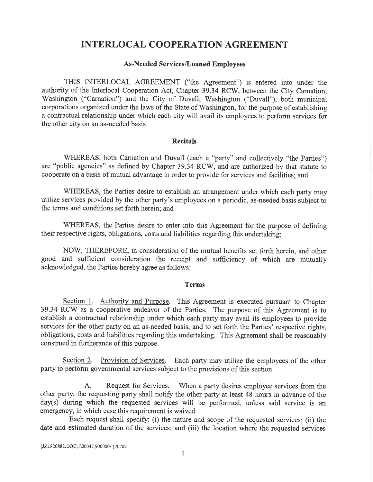## INTERLOCAL COOPERATION AGREEMENT

## As-Needed Services/Loaned Employees

THIS INTERLOCAL AGREEMENT ("the Agreement") is entered into under the authority of the Interlocal Cooperation Act, Chapter 39.34 RCW, between the City Carnation, Washington ("Carnation") and the City of Duvall, Washington ("Duvall"), both municipal corporations organized under the laws of the State of Washington, for the purpose of establishing a contractual relationship under which each city will avail its employees to perform services for the other city on an as-needed basis.

## Recitals

WHEREAS, both Carnation and Duvall (each a "party" and collectively "the Parties") are "public agencies" as defined by Chapter 39.34 RCW, and are authorized by that statute to cooperate on a basis of mutual advantage in order to provide for services and facilities; and

WHEREAS, the Parties desire to establish an arrangement under which each party may utilize services provided by the other party's employees on a periodic, as-needed basis subject to the terms and conditions set forth herein; and

WHEREAS, the Parties desire to enter into this Agreement for the purpose of defining their respective rights, obligations, costs and liabilities regarding this undertaking;

NOW, THEREFORE, in consideration of the mutual benefits set forth herein, and other good and sufficient consideration the receipt and sufficiency of which are mutually acknowledged, the Parties hereby agree as follows:

## Terms

Section 1. Authority and Purpose. This Agreement is executed pursuant to Chapter 39.34 RCV/ as a cooperative endeavor of the Parties. The purpose of this Agreement is to establish a contractual relationship under which each party may avail its employees to provide services for the other party on an as-needed basis, and to set forth the Parties' respective rights, obligations, costs and liabilities regarding this undertaking. This Agreement shall be reasonably construed in furtherance of this purpose.

Section 2. Provision of Services. Each party may utilize the employees of the other party to perform governmental services subject to the provisions of this section.

A. Request for Services. When a party desires employee services from the other party, the requesting party shall notify the other party at least 48 hours in advance of the day(s) during which the requested services will be performed, unless said service is an emergency, in which case this requirement is waived.

. Each request shall specify: (i) the nature and scope of the requested services; (ii) the date and estimated duration of the services; and (iii) the location where the requested services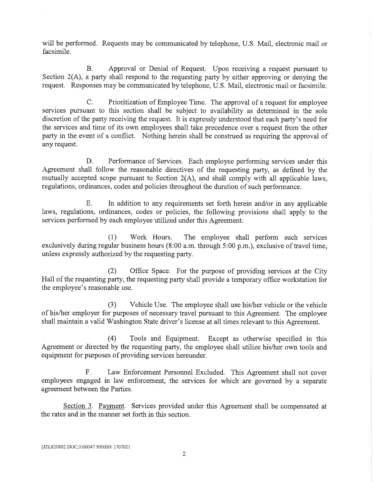will be performed. Requests may be communicated by telephone, U.S. Mail, electronic mail or facsimile.

B. Approval or Denial of Request. Upon receiving a request pursuant to Section 2(A), a party shall respond to the requesting party by either approving or denying the request. Responses may be communicated by telephone, U.S. Mail, electronic mail or facsimile.

C. Prioritization of Employee Time. The approval of a request for employee services pursuant to this section shall be subject to availability as determined in the sole discretion of the party receiving the request. It is expressly understood that each party's need for the services and time of its own employees shall take precedence over a request from the other party in the event of a conflict. Nothing herein shall be construed as requiring the approval of any request.

D. Performance of Services. Each employee performing services under this Agreement shall follow the reasonable directives of the requesting party, as defined by the mutually accepted scope pursuant to Section 2(A), and shall comply with all applicable laws, regulations, ordinances, codes and policies throughout the duration of such performance.

E. In addition to any requirements set forth herein and/or in any applicable laws, regulations, ordinances, codes or policies, the following provisions shall apply to the services performed by each employee utilized under this Agreement:

(1) 'Work Hours. The employee shall perform such services exclusively during regular business hours (8:00 a.m. through 5:00 p.m.), exclusive of travel time, unless expressly authorized by the requesting party.

(2) Office Space. For the purpose of providing services at the City Hall of the requesting party, the requesting party shall provide a temporary office workstation for the employee's reasonable use.

(3) Vehicle Use. The employee shall use his/her vehicle or the vehicle of his/her employer for purposes of necessary travel pursuant to this Agreement. The employee shall maintain a valid Washington State driver's license at all times relevant to this Agreement.

(4) Tools and Equipment. Except as otherwise specified in this Agreement or directed by the requesting party, the employee shall utilize his/her own tools and equipment for purposes of providing services hereunder.

F. Law Enforcement Personnel Excluded. This Agreement shall not cover employees engaged in law enforcement, the services for which are governed by a separate agreement between the Parties.

Section 3. Payment. Services provided under this Agreement shall be compensated at the rates and in the manner set forth in this section.